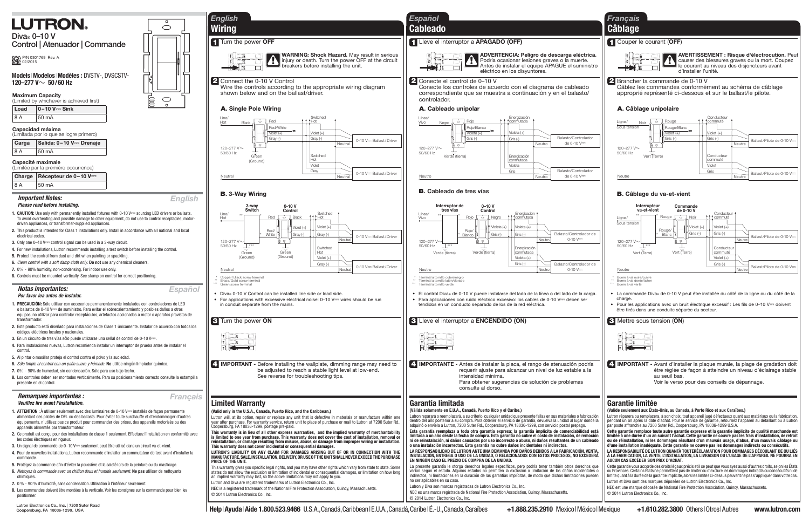**Lutron Electronics Co., Inc. | 7200 Suter Road Coopersburg, PA 18036-1299, USA**

 $\bigcirc$ ╤

> $\bigcirc$  $\circ$

E



**Control | Atenuador | Commande**

P/N 0301769 Rev. A<br>02/2015

### *Notas importantes: Por favor lea antes de instalar.*

- **1. PRECAUCIÓN:** Sólo utilizar con accesorios permanentemente instalados con controladores de LED o balastos de 0-10 V=== de suministro. Para evitar el sobrecalentamiento y posibles daños a otros equipos, no utilizar para controlar receptáculos, artefactos accionados a motor o aparatos provistos de transformador.
- **2.** Este producto está diseñado para instalaciones de Clase 1 únicamente. Instalar de acuerdo con todos los códigos eléctricos locales y nacionales.
- **3.** En un circuito de tres vías sólo puede utilizarse una señal de control de 0-10 V==.
- **4.** Para instalaciones nuevas, Lutron recomienda instalar un interruptor de prueba antes de instalar el
- control. **5.** Al pintar o masillar proteja el control contra el polvo y la suciedad.
- **6.** Sólo limpie el control con un paño suave y húmedo. **No** utilice ningún limpiador químico.
- **7.** 0% 90% de humedad, sin condensación. Sólo para uso bajo techo.
- **8.** Los controles deben ser montados verticalmente. Para su posicionamiento correcto consulte la estampilla presente en el control.

- **1. ATTENTION :** À utiliser seulement avec des luminaires de 0-10 V== installés de façon permanente alimentant des pilotes de DEL ou des ballasts. Pour éviter toute surchauffe et d'endommager d'autres équipements, n'utilisez pas ce produit pour commander des prises, des appareils motorisés ou des appareils alimentés par transformateur.
- **2.** Ce produit est conçu pour des installations de classe 1 seulement. Effectuez l'installation en conformité avec les codes électriques en riqueur.
- **3.** Un signal de commande de 0–10 V<del>--</del> seulement peut être utilisé dans un circuit va-et-vient.
- **4.** Pour de nouvelles installations, Lutron recommande d'installer un commutateur de test avant d'installer la commande.
- **5.** Protégez la commande afin d'éviter la poussière et la saleté lors de la peinture ou du masticage.
- **6.** Nettoyez la commande avec un chiffon doux et humide seulement. **Ne pas** utiliser de nettoyants chimiques.
- **7.** 0 % 90 % d'humidité, sans condensation. Utilisation à l'intérieur seulement.
- **8.** Les commandes doivent être montées à la verticale. Voir les consignes sur la commande pour bien les positionner.

## *Remarques importantes : Veuillez lire avant l'installation.*

- **1. CAUTION:** Use only with permanently installed fixtures with 0-10 V<sup>---</sup> sourcing LED drivers or ballasts. To avoid overheating and possible damage to other equipment, do not use to control receptacles, motordriven appliances, or transformer-supplied appliances.
- **2.** This product is intended for Class 1 installations only. Install in accordance with all national and local electrical codes.
- **3.** Only one 0–10 V== control signal can be used in a 3-way circuit.
- **4.** For new installations, Lutron recommends installing a test switch before installing the control.
- **5.** Protect the control from dust and dirt when painting or spackling.
- **6.** Clean control with a soft damp cloth only. **Do not** use any chemical cleaners.
- **7.** 0% 90% humidity, non-condensing. For indoor use only.
- **8.** Controls must be mounted vertically. See stamp on control for correct positioning.

### *Important Notes: Please read before installing.*

Cette garantie vous accorde des droits légaux précis et il se peut que vous ayez aussi d'autres droits, selon les États<br>ou Provinces. Certains États ne permettent pas de limiter ou d'exclure les dommages indirects ou consé limite quant à la durée de la garantie implicite, alors les limites ci-dessus peuvent ne pas s'appliquer dans votre cas. Lutron et Diva sont des marques déposées de Lutron Electronics Co., Inc.

## **1** Turn the power **OFF**

## **A. Single Pole Wiring**





## **B. 3-Way Wiring**



- 
- Diva® 0-10 V Control can be installed line side or load side.
- For applications with excessive electrical noise: 0–10 V— wires should be run in conduit separate from the mains.

## **Garantía limitada**

## **(Válida solamente en E.U.A., Canadá, Puerto Rico y el Caribe.)**

Lutron reparará o reemplazará, a su criterio, cualquier unidad que presente fallas en sus materiales o fabricación dentro del año posterior a su compra. Para obtener el servicio de garantía, devuelva la unidad al lugar donde la adquirió o envíela a Lutron, 7200 Suter Rd., Coopersburg, PA 18036-1299, con servicio postal prepago.

**Esta garantía reemplaza a toda otra garantía expresa; la garantía implícita de comerciabilidad está limitada a un año desde la fecha de compra. Esta garantía no cubre el costo de instalación, de remoción ni de reinstalación, ni daños causados por uso incorrecto o abuso, ni daños resultantes de un cableado o una instalación incorrectos. Esta garantía no cubre daños incidentales ni indirectos.**

LA RESPONSABILIDAD DE LUTRON ANTE UNA DEMANDA POR DAÑOS DEBIDOS A LA FABRICACIÓN, VENTA<br>Instalación, entrega o uso de la Unidad, o Relacionados con estos procesos, no excederá EN NINGÚN CÁSO EL PRECIO DE COMPRA DE LA UNIDAD.

La presente garantía le otorga derechos legales específicos, pero podría tener también otros derechos que varían según el estado. Algunos estados no permiten la exclusión o limitación de los daños incidentales o indirectos, ni limitaciones en la duración de las garantías implícitas, de modo que dichas limitaciones pueden no ser aplicables en su caso.

Lutron y Diva son marcas registradas de Lutron Electronics Co., Inc.

NEC es una marca registrada de National Fire Protection Association, Quincy, Massachusetts.

## **Garantie limitée**

**(Valide seulement aux États-Unis, au Canada, à Porto Rico et aux Caraïbes.)**

Lutron réparera ou remplacera, à son choix, tout appareil jugé défectueux quant aux matériaux ou la fabrication, pendant un an après la date d'achat. Pour le service de garantie, retournez l'appareil au détaillant ou à Lutron par poste affranchie au 7200 Suter Rd., Coopersburg, PA 18036-1299 U.S.A.

**Cette garantie remplace toute autre garantie expresse et la garantie implicite de qualité marchande est limitée à une durée d'un an suivant l'achat. Cette garantie ne couvre pas les frais d'installation, de retrait ou de réinstallation, ni les dommages résultant d'un mauvais usage, d'abus, d'un mauvais câblage ou d'une installation inadéquate. Cette garantie ne couvre pas les dommages indirects ou consécutifs. LA RESPONSABILITÉ DE LUTRON QUANTÀ TOUTERÉCLAMATION POUR DOMMAGES DÉCOULANT DE OU LIÉS** 

À LA FABRICATION, LA VENTE, L'INSTALLATION, LA LIVRAISON OU L'USAGE DE L'APPAREIL NE POURRA EN AUCUN CAS EXCÉDER SON PRIX D'ACHAT.

**Models**|**Modelos**|**Modèles :** DVSTV-, DVSCSTV- **120–277 V**~ **50 / 60 Hz**

**Charge Récepteur de 0 – 10 V** - $8 A$  50 mA

NEC est une marque déposée de National Fire Protection Association, Quincy, Massachussets. © 2014 Lutron Electronics Co., Inc.

## **Limited Warranty**

### **(Valid only in the U.S.A., Canada, Puerto Rico, and the Caribbean.)**

Lutron will, at its option, repair or replace any unit that is defective in materials or manufacture within one year after purchase. For warranty service, return unit to place of purchase or mail to Lutron at 7200 Suter Rd., Coopersburg, PA 18036-1299, postage pre-paid.

**This warranty is in lieu of all other express warranties, and the implied warranty of merchantability is limited to one year from purchase. This warranty does not cover the cost of installation, removal or reinstallation, or damage resulting from misuse, abuse, or damage from improper wiring or installation. This warranty does not cover incidental or consequential damages.**

**LUTRON'S LIABILITY ON ANY CLAIM FOR DAMAGES ARISING OUT OF OR IN CONNECTION WITH THE MANUFACTURE, SALE, INSTALLATION, DELIVERY, OR USE OF THE UNIT SHALL NEVER EXCEED THE PURCHASE PRICE OF THE UNIT.**

This warranty gives you specific legal rights, and you may have other rights which vary from state to state. Some states do not allow the exclusion or limitation of incidental or consequential damages, or limitation on how long an implied warranty may last, so the above limitations may not apply to you.

Lutron and Diva are registered trademarks of Lutron Electronics Co., Inc. NEC is a registered trademark of the National Fire Protection Association, Quincy, Massachusetts.

© 2014 Lutron Electronics Co., Inc.

*English*

*Español*

*Français*

**4 IMPORTANT -** Before installing the wallplate, dimming range may need to be adjusted to reach a stable light level at low-end. See reverse for troubleshooting tips.





\*\* Brass / Gold screw terminal



## **2** Connect the 0-10 V Control

Wire the controls according to the appropriate wiring diagram shown below and on the ballast/driver.



## **1** Couper le courant (**OFF**)



## **A. Câblage unipolaire**

!**AVERTISSEMENT : Risque d'électrocution.** Peut causer des blessures graves ou la mort. Coupez le courant au niveau des disjoncteurs avant d'installer l'unité.

**4 IMPORTANT -** Avant d'installer la plaque murale, la plage de gradation doit être réglée de façon à atteindre un niveau d'éclairage stable au seuil bas. Voir le verso pour des conseils de dépannage.



**2** Brancher la commande de 0-10 V Câblez les commandes conformément au schéma de câblage approprié représenté ci-dessous et sur le ballast/le pilote.

## *Français* **Câblage**

## **1** Lleve el interruptor a **APAGADO (OFF)**



## **A. Cableado unipolar**

**3** Lleve el interruptor a **ENCENDIDO (ON)**



## **B. Cableado de tres vías**

!**ADVERTENCIA: Peligro de descarga eléctrica.** Podría ocasionar lesiones graves o la muerte. Antes de instalar el equipo APAGUE el suministro eléctrico en los disyuntores.

**4 IMPORTANTE -** Antes de instalar la placa, el rango de atenuación podría requerir ajuste para alcanzar un nivel de luz estable a la intensidad mínima. Para obtener sugerencias de solución de problemas consulte al dorso.

- \* Terminal a tornillo cobre/negro \*\* Terminal a tornillo latón/dorado \*\*\* Terminal a tornillo verde
- El control Diva® de 0-10 V puede instalarse del lado de la línea o del lado de la carga.
- Para aplicaciones con ruido eléctrico excesivo: los cables de 0-10 V== deben ser tendidos en un conducto separado de los de la red eléctrica.





### **2** Conecte el control de 0–10 V

Conecte los controles de acuerdo con el diagrama de cableado correspondiente que se muestra a continuación y en el balasto/ controlador.

## *Español* **Cableado**

### **Maximum Capacity**

(Limited by whichever is achieved first)

| Load | $ 0 - 10 V =$ Sink |
|------|--------------------|
| 8A   | 50 mA              |

**Capacidad máxima** (Limitada por lo que se logre primero)

| Carga | Salida: 0-10 V-Drenaje |  |
|-------|------------------------|--|
| 8 A   | 50 mA                  |  |

## **Capacité maximale**

Limitée par la première occurrence)